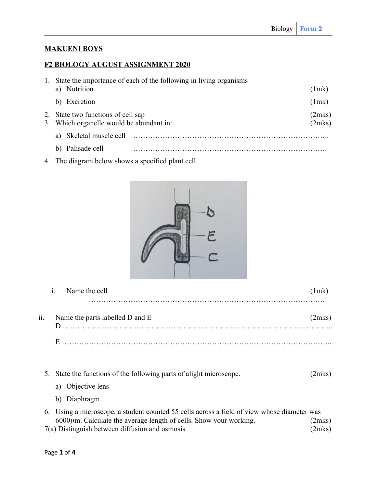## **MAKUENI BOYS**

## **F2 BIOLOGY AUGUST ASSIGNMENT 2020**

| 1. | State the importance of each of the following in living organisms              |  |                  |
|----|--------------------------------------------------------------------------------|--|------------------|
|    | Nutrition<br>a)                                                                |  | (1mk)            |
|    | b) Excretion                                                                   |  | (1mk)            |
|    | 2. State two functions of cell sap<br>3. Which organelle would be abundant in: |  | (2mks)<br>(2mks) |
|    | Skeletal muscle cell<br>a)                                                     |  |                  |
|    | Palisade cell                                                                  |  |                  |

4. The diagram below shows a specified plant cell



|     | Name the cell<br>1.             |        |
|-----|---------------------------------|--------|
| ii. | Name the parts labelled D and E | (2mks) |
|     |                                 |        |

| 5. State the functions of the following parts of alight microscope. | (2mks) |  |
|---------------------------------------------------------------------|--------|--|
| a) Objective lens                                                   |        |  |

b) Diaphragm

| 6. Using a microscope, a student counted 55 cells across a field of view whose diameter was |        |
|---------------------------------------------------------------------------------------------|--------|
| $6000 \mu m$ . Calculate the average length of cells. Show your working.                    | (2mks) |
| $7(a)$ Distinguish between diffusion and osmosis                                            | (2mks) |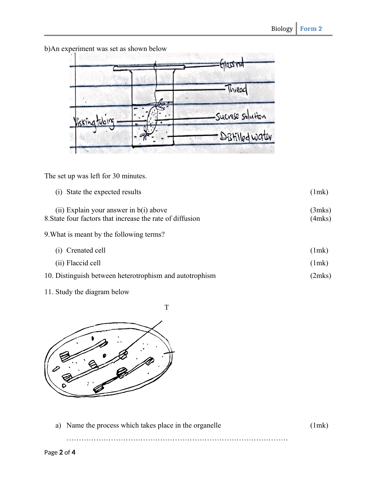Glass rid -Thread Sucrose solution - DBHilled water

b)An experiment was set as shown below

The set up was left for 30 minutes.

| (i) State the expected results                                                                          | (1mk)            |
|---------------------------------------------------------------------------------------------------------|------------------|
| $(ii)$ Explain your answer in $b(i)$ above<br>8. State four factors that increase the rate of diffusion | (3mks)<br>(4mks) |
| 9. What is meant by the following terms?                                                                |                  |
| (i) Crenated cell                                                                                       | (1mk)            |
| (ii) Flaccid cell                                                                                       | (1mk)            |
| 10. Distinguish between heterotrophism and autotrophism                                                 | (2mks)           |
|                                                                                                         |                  |

11. Study the diagram below





a) Name the process which takes place in the organelle (1mk)

………………………………………………………………………………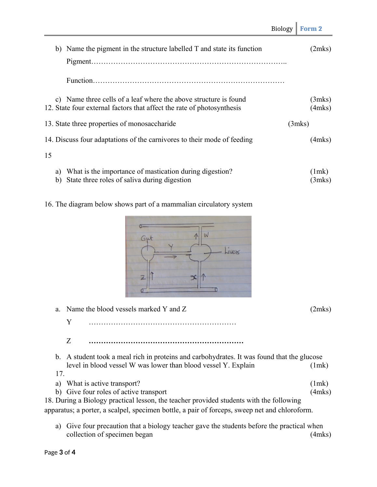|                                                                                                                                            | Biology | Form 2                 |
|--------------------------------------------------------------------------------------------------------------------------------------------|---------|------------------------|
| b) Name the pigment in the structure labelled T and state its function                                                                     |         | (2mks)                 |
|                                                                                                                                            |         |                        |
| c) Name three cells of a leaf where the above structure is found<br>12. State four external factors that affect the rate of photosynthesis |         | (3mks)<br>$(4$ mks $)$ |
| 13. State three properties of monosaccharide                                                                                               |         | (3mks)                 |
| 14. Discuss four adaptations of the carnivores to their mode of feeding                                                                    |         | $(4$ mks $)$           |
| 15                                                                                                                                         |         |                        |
| a) What is the importance of mastication during digestion?<br>b) State three roles of saliva during digestion                              |         | (1mk)<br>(3mks)        |
| 16. The diagram below shows part of a mammalian circulatory system                                                                         |         |                        |
| W<br>Gut<br>jues<br>$\propto$<br>Z                                                                                                         |         |                        |
| Name the blood vessels marked Y and Z<br>a.                                                                                                |         | (2mks)                 |
| Y                                                                                                                                          |         |                        |

Z **………………………………………………………**

b. A student took a meal rich in proteins and carbohydrates. It was found that the glucose level in blood vessel W was lower than blood vessel Y. Explain (1mk) 17.

- a) What is active transport? (1mk)
- b) Give four roles of active transport (4mks)

18. During a Biology practical lesson, the teacher provided students with the following apparatus; a porter, a scalpel, specimen bottle, a pair of forceps, sweep net and chloroform.

a) Give four precaution that a biology teacher gave the students before the practical when collection of specimen began (4mks)